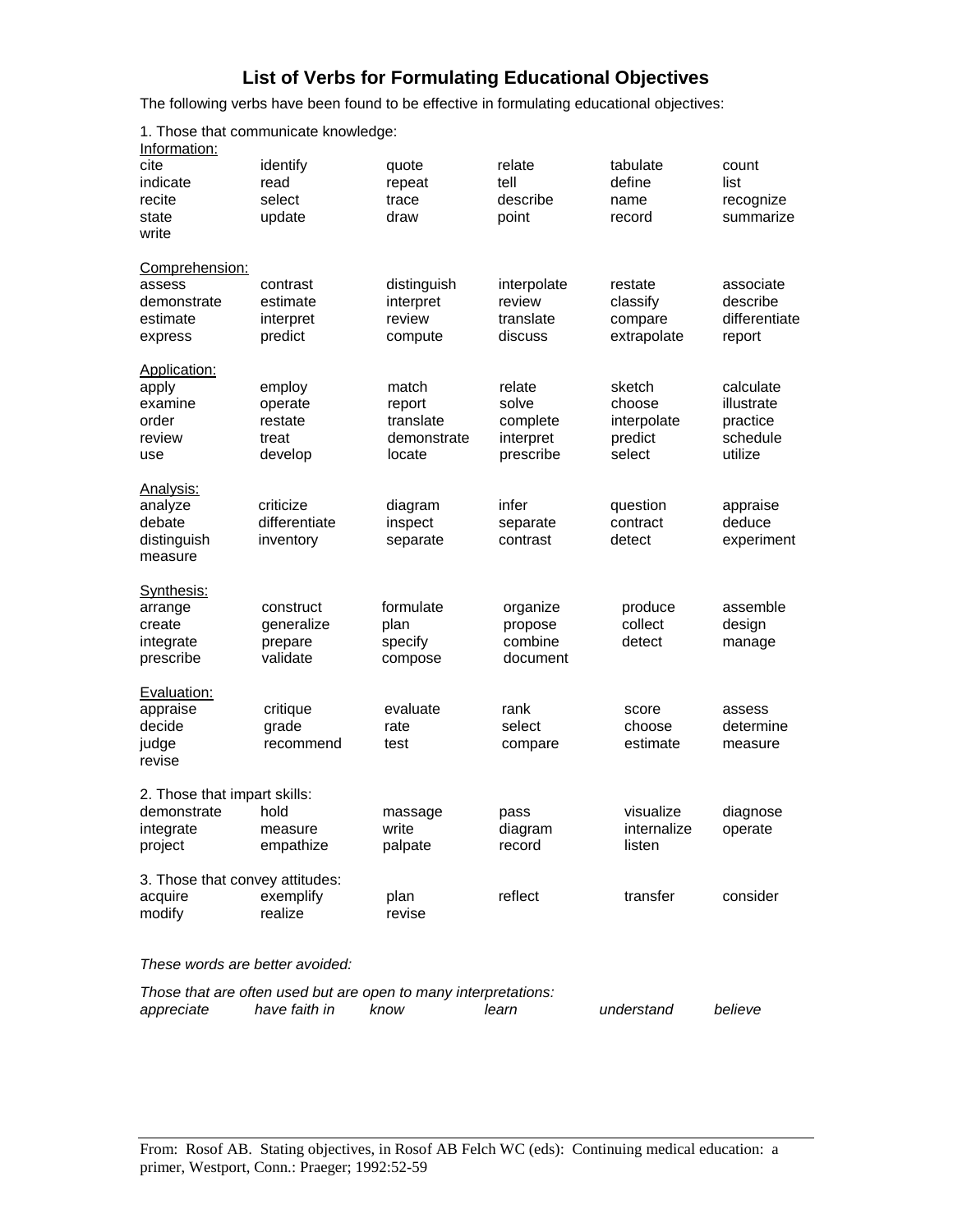## **List of Verbs for Formulating Educational Objectives**

The following verbs have been found to be effective in formulating educational objectives:

| Information:                    |               |                                                                 |             |             |               |
|---------------------------------|---------------|-----------------------------------------------------------------|-------------|-------------|---------------|
| cite                            | identify      | quote                                                           | relate      | tabulate    | count         |
| indicate                        | read          | repeat                                                          | tell        | define      | list          |
| recite                          | select        | trace                                                           | describe    | name        | recognize     |
| state                           | update        | draw                                                            | point       | record      | summarize     |
| write                           |               |                                                                 |             |             |               |
| Comprehension:                  |               |                                                                 |             |             |               |
| assess                          | contrast      | distinguish                                                     | interpolate | restate     | associate     |
| demonstrate                     | estimate      | interpret                                                       | review      | classify    | describe      |
| estimate                        | interpret     | review                                                          | translate   | compare     | differentiate |
| express                         | predict       | compute                                                         | discuss     | extrapolate | report        |
| Application:                    |               |                                                                 |             |             |               |
| apply                           | employ        | match                                                           | relate      | sketch      | calculate     |
| examine                         | operate       | report                                                          | solve       | choose      | illustrate    |
| order                           | restate       | translate                                                       | complete    | interpolate | practice      |
| review                          | treat         | demonstrate                                                     | interpret   | predict     | schedule      |
| use                             | develop       | locate                                                          | prescribe   | select      | utilize       |
| Analysis:                       |               |                                                                 |             |             |               |
| analyze                         | criticize     | diagram                                                         | infer       | question    | appraise      |
| debate                          | differentiate | inspect                                                         | separate    | contract    | deduce        |
| distinguish                     | inventory     | separate                                                        | contrast    | detect      | experiment    |
| measure                         |               |                                                                 |             |             |               |
| Synthesis:                      |               |                                                                 |             |             |               |
| arrange                         | construct     | formulate                                                       | organize    | produce     | assemble      |
| create                          | generalize    | plan                                                            | propose     | collect     | design        |
| integrate                       | prepare       | specify                                                         | combine     | detect      | manage        |
| prescribe                       | validate      | compose                                                         | document    |             |               |
| Evaluation:                     |               |                                                                 |             |             |               |
| appraise                        | critique      | evaluate                                                        | rank        | score       | assess        |
| decide                          | grade         | rate                                                            | select      | choose      | determine     |
| judge                           | recommend     | test                                                            | compare     | estimate    | measure       |
| revise                          |               |                                                                 |             |             |               |
| 2. Those that impart skills:    |               |                                                                 |             |             |               |
| demonstrate                     | hold          | massage                                                         | pass        | visualize   | diagnose      |
| integrate                       | measure       | write                                                           | diagram     | internalize | operate       |
| project                         | empathize     | palpate                                                         | record      | listen      |               |
|                                 |               |                                                                 |             |             |               |
| 3. Those that convey attitudes: |               |                                                                 |             |             |               |
| acquire                         | exemplify     | plan                                                            | reflect     | transfer    | consider      |
| modify                          | realize       | revise                                                          |             |             |               |
| These words are better avoided: |               |                                                                 |             |             |               |
|                                 |               | Those that are often used but are open to many interpretations: |             |             |               |
| appreciate                      | have faith in | know                                                            | learn       | understand  | believe       |

1. Those that communicate knowledge: